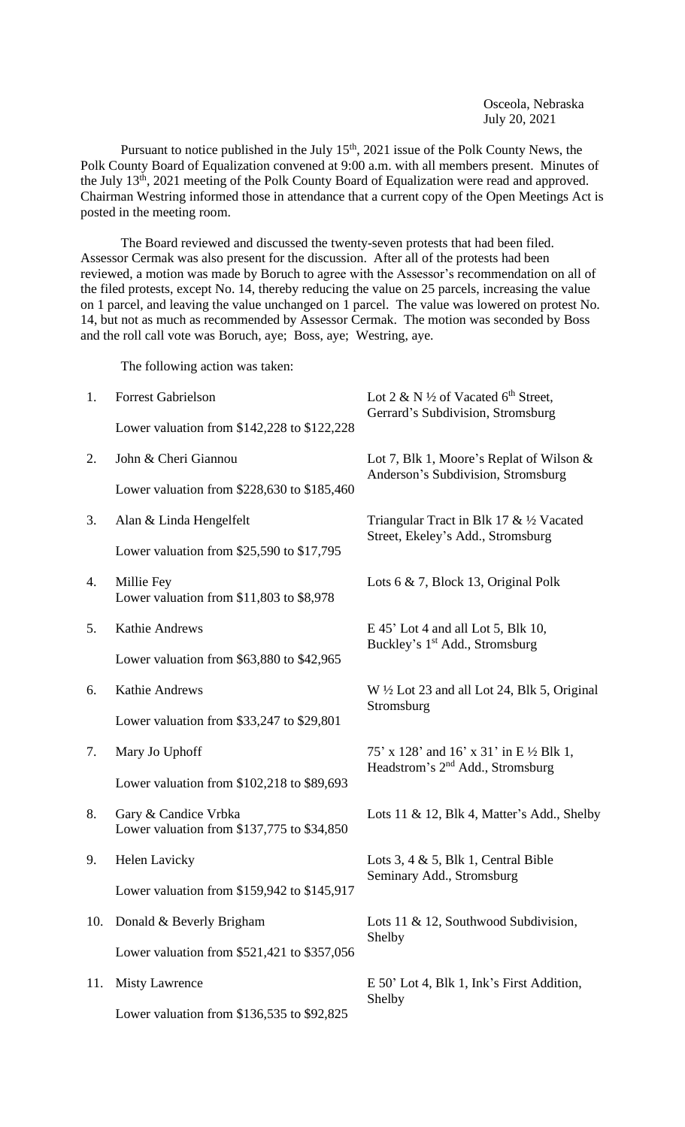Osceola, Nebraska July 20, 2021

Pursuant to notice published in the July 15<sup>th</sup>, 2021 issue of the Polk County News, the Polk County Board of Equalization convened at 9:00 a.m. with all members present. Minutes of the July 13<sup>th</sup>, 2021 meeting of the Polk County Board of Equalization were read and approved. Chairman Westring informed those in attendance that a current copy of the Open Meetings Act is posted in the meeting room.

The Board reviewed and discussed the twenty-seven protests that had been filed. Assessor Cermak was also present for the discussion. After all of the protests had been reviewed, a motion was made by Boruch to agree with the Assessor's recommendation on all of the filed protests, except No. 14, thereby reducing the value on 25 parcels, increasing the value on 1 parcel, and leaving the value unchanged on 1 parcel. The value was lowered on protest No. 14, but not as much as recommended by Assessor Cermak. The motion was seconded by Boss and the roll call vote was Boruch, aye; Boss, aye; Westring, aye.

The following action was taken:

| 1.  | <b>Forrest Gabrielson</b>                                            | Lot 2 & N $\frac{1}{2}$ of Vacated 6 <sup>th</sup> Street,<br>Gerrard's Subdivision, Stromsburg |
|-----|----------------------------------------------------------------------|-------------------------------------------------------------------------------------------------|
|     | Lower valuation from \$142,228 to \$122,228                          |                                                                                                 |
| 2.  | John & Cheri Giannou                                                 | Lot 7, Blk 1, Moore's Replat of Wilson $\&$<br>Anderson's Subdivision, Stromsburg               |
|     | Lower valuation from \$228,630 to \$185,460                          |                                                                                                 |
| 3.  | Alan & Linda Hengelfelt                                              | Triangular Tract in Blk 17 & 1/2 Vacated<br>Street, Ekeley's Add., Stromsburg                   |
|     | Lower valuation from $$25,590$ to $$17,795$                          |                                                                                                 |
| 4.  | Millie Fey<br>Lower valuation from $$11,803$ to $$8,978$             | Lots $6 \& 7$ , Block 13, Original Polk                                                         |
| 5.  | Kathie Andrews                                                       | E 45' Lot 4 and all Lot 5, Blk 10,<br>Buckley's 1 <sup>st</sup> Add., Stromsburg                |
|     | Lower valuation from $$63,880$ to $$42,965$                          |                                                                                                 |
| 6.  | Kathie Andrews                                                       | $W \frac{1}{2}$ Lot 23 and all Lot 24, Blk 5, Original                                          |
|     | Lower valuation from \$33,247 to \$29,801                            | Stromsburg                                                                                      |
| 7.  | Mary Jo Uphoff                                                       | 75' x 128' and 16' x 31' in E $\frac{1}{2}$ Blk 1,                                              |
|     | Lower valuation from \$102,218 to \$89,693                           | Headstrom's 2 <sup>nd</sup> Add., Stromsburg                                                    |
| 8.  | Gary & Candice Vrbka<br>Lower valuation from $$137,775$ to $$34,850$ | Lots 11 & 12, Blk 4, Matter's Add., Shelby                                                      |
| 9.  | <b>Helen Lavicky</b>                                                 | Lots 3, 4 & 5, Blk 1, Central Bible<br>Seminary Add., Stromsburg                                |
|     | Lower valuation from \$159,942 to \$145,917                          |                                                                                                 |
| 10. | Donald & Beverly Brigham                                             | Lots 11 & 12, Southwood Subdivision,<br>Shelby                                                  |
|     | Lower valuation from \$521,421 to \$357,056                          |                                                                                                 |
| 11. | <b>Misty Lawrence</b>                                                | E 50' Lot 4, Blk 1, Ink's First Addition,<br>Shelby                                             |
|     | Lower valuation from \$136,535 to \$92,825                           |                                                                                                 |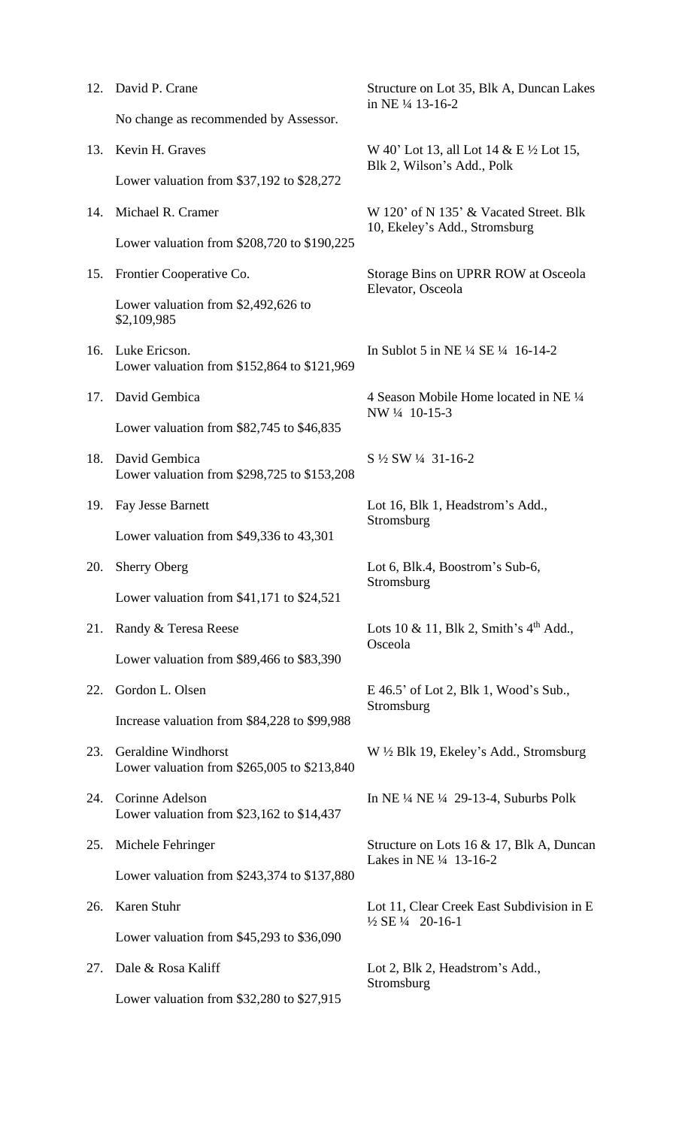| 12. | David P. Crane                                                     | Structure on Lot 35, Blk A, Duncan Lakes<br>in NE 1/4 13-16-2           |
|-----|--------------------------------------------------------------------|-------------------------------------------------------------------------|
|     | No change as recommended by Assessor.                              |                                                                         |
| 13. | Kevin H. Graves                                                    | W 40' Lot 13, all Lot 14 & E ½ Lot 15,<br>Blk 2, Wilson's Add., Polk    |
|     | Lower valuation from $$37,192$ to $$28,272$                        |                                                                         |
| 14. | Michael R. Cramer                                                  | W 120' of N 135' & Vacated Street. Blk<br>10, Ekeley's Add., Stromsburg |
|     | Lower valuation from \$208,720 to \$190,225                        |                                                                         |
| 15. | Frontier Cooperative Co.                                           | Storage Bins on UPRR ROW at Osceola<br>Elevator, Osceola                |
|     | Lower valuation from \$2,492,626 to<br>\$2,109,985                 |                                                                         |
| 16. | Luke Ericson.<br>Lower valuation from $$152,864$ to $$121,969$     | In Sublot 5 in NE $\frac{1}{4}$ SE $\frac{1}{4}$ 16-14-2                |
| 17. | David Gembica                                                      | 4 Season Mobile Home located in NE 1/4<br>NW 1/4 10-15-3                |
|     | Lower valuation from $$82,745$ to $$46,835$                        |                                                                         |
| 18. | David Gembica<br>Lower valuation from \$298,725 to \$153,208       | S 1/2 SW 1/4 31-16-2                                                    |
| 19. | Fay Jesse Barnett                                                  | Lot 16, Blk 1, Headstrom's Add.,<br>Stromsburg                          |
|     | Lower valuation from $$49,336$ to $43,301$                         |                                                                         |
| 20. | <b>Sherry Oberg</b>                                                | Lot 6, Blk.4, Boostrom's Sub-6,<br>Stromsburg                           |
|     | Lower valuation from $$41,171$ to $$24,521$                        |                                                                         |
| 21. | Randy & Teresa Reese                                               | Lots 10 & 11, Blk 2, Smith's $4th$ Add.,<br>Osceola                     |
|     | Lower valuation from \$89,466 to \$83,390                          |                                                                         |
| 22. | Gordon L. Olsen                                                    | E 46.5' of Lot 2, Blk 1, Wood's Sub.,<br>Stromsburg                     |
|     | Increase valuation from \$84,228 to \$99,988                       |                                                                         |
| 23. | Geraldine Windhorst<br>Lower valuation from \$265,005 to \$213,840 | W 1/2 Blk 19, Ekeley's Add., Stromsburg                                 |
| 24. | Corinne Adelson<br>Lower valuation from $$23,162$ to $$14,437$     | In NE $\frac{1}{4}$ NE $\frac{1}{4}$ 29-13-4, Suburbs Polk              |
| 25. | Michele Fehringer                                                  | Structure on Lots 16 & 17, Blk A, Duncan<br>Lakes in NE 1/4 13-16-2     |
|     | Lower valuation from \$243,374 to \$137,880                        |                                                                         |
| 26. | Karen Stuhr                                                        | Lot 11, Clear Creek East Subdivision in E<br>1/2 SE 1/4 20-16-1         |
|     | Lower valuation from $$45,293$ to $$36,090$                        |                                                                         |
| 27. | Dale & Rosa Kaliff                                                 | Lot 2, Blk 2, Headstrom's Add.,<br>Stromsburg                           |
|     | Lower valuation from $$32,280$ to $$27,915$                        |                                                                         |